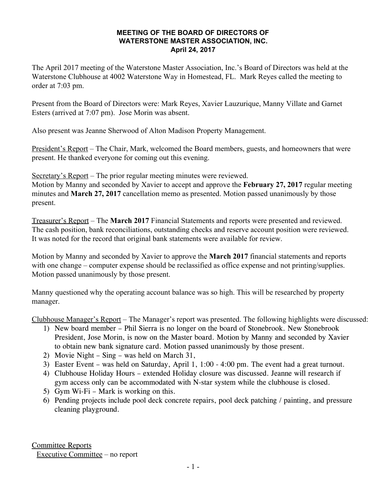## **MEETING OF THE BOARD OF DIRECTORS OF WATERSTONE MASTER ASSOCIATION, INC. April 24, 2017**

The April 2017 meeting of the Waterstone Master Association, Inc.'s Board of Directors was held at the Waterstone Clubhouse at 4002 Waterstone Way in Homestead, FL. Mark Reyes called the meeting to order at 7:03 pm.

Present from the Board of Directors were: Mark Reyes, Xavier Lauzurique, Manny Villate and Garnet Esters (arrived at 7:07 pm). Jose Morin was absent.

Also present was Jeanne Sherwood of Alton Madison Property Management.

President's Report – The Chair, Mark, welcomed the Board members, guests, and homeowners that were present. He thanked everyone for coming out this evening.

Secretary's Report – The prior regular meeting minutes were reviewed.

Motion by Manny and seconded by Xavier to accept and approve the **February 27, 2017** regular meeting minutes and **March 27, 2017** cancellation memo as presented. Motion passed unanimously by those present.

Treasurer's Report – The **March 2017** Financial Statements and reports were presented and reviewed. The cash position, bank reconciliations, outstanding checks and reserve account position were reviewed. It was noted for the record that original bank statements were available for review.

Motion by Manny and seconded by Xavier to approve the **March 2017** financial statements and reports with one change – computer expense should be reclassified as office expense and not printing/supplies. Motion passed unanimously by those present.

Manny questioned why the operating account balance was so high. This will be researched by property manager.

Clubhouse Manager's Report – The Manager's report was presented. The following highlights were discussed:

- 1) New board member Phil Sierra is no longer on the board of Stonebrook. New Stonebrook President, Jose Morin, is now on the Master board. Motion by Manny and seconded by Xavier to obtain new bank signature card. Motion passed unanimously by those present.
- 2) Movie Night Sing was held on March 31,
- 3) Easter Event was held on Saturday, April 1, 1:00 4:00 pm. The event had a great turnout.
- 4) Clubhouse Holiday Hours extended Holiday closure was discussed. Jeanne will research if gym access only can be accommodated with N-star system while the clubhouse is closed.
- 5) Gym Wi-Fi Mark is working on this.
- 6) Pending projects include pool deck concrete repairs, pool deck patching / painting, and pressure cleaning playground.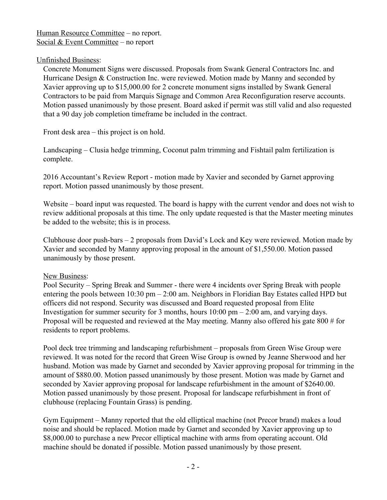Human Resource Committee – no report. Social & Event Committee – no report

## Unfinished Business:

Concrete Monument Signs were discussed. Proposals from Swank General Contractors Inc. and Hurricane Design & Construction Inc. were reviewed. Motion made by Manny and seconded by Xavier approving up to \$15,000.00 for 2 concrete monument signs installed by Swank General Contractors to be paid from Marquis Signage and Common Area Reconfiguration reserve accounts. Motion passed unanimously by those present. Board asked if permit was still valid and also requested that a 90 day job completion timeframe be included in the contract.

Front desk area – this project is on hold.

Landscaping – Clusia hedge trimming, Coconut palm trimming and Fishtail palm fertilization is complete.

2016 Accountant's Review Report - motion made by Xavier and seconded by Garnet approving report. Motion passed unanimously by those present.

Website – board input was requested. The board is happy with the current vendor and does not wish to review additional proposals at this time. The only update requested is that the Master meeting minutes be added to the website; this is in process.

Clubhouse door push-bars – 2 proposals from David's Lock and Key were reviewed. Motion made by Xavier and seconded by Manny approving proposal in the amount of \$1,550.00. Motion passed unanimously by those present.

## New Business:

Pool Security – Spring Break and Summer - there were 4 incidents over Spring Break with people entering the pools between 10:30 pm – 2:00 am. Neighbors in Floridian Bay Estates called HPD but officers did not respond. Security was discussed and Board requested proposal from Elite Investigation for summer security for 3 months, hours  $10:00 \text{ pm} - 2:00 \text{ am}$ , and varying days. Proposal will be requested and reviewed at the May meeting. Manny also offered his gate 800 # for residents to report problems.

Pool deck tree trimming and landscaping refurbishment – proposals from Green Wise Group were reviewed. It was noted for the record that Green Wise Group is owned by Jeanne Sherwood and her husband. Motion was made by Garnet and seconded by Xavier approving proposal for trimming in the amount of \$880.00. Motion passed unanimously by those present. Motion was made by Garnet and seconded by Xavier approving proposal for landscape refurbishment in the amount of \$2640.00. Motion passed unanimously by those present. Proposal for landscape refurbishment in front of clubhouse (replacing Fountain Grass) is pending.

Gym Equipment – Manny reported that the old elliptical machine (not Precor brand) makes a loud noise and should be replaced. Motion made by Garnet and seconded by Xavier approving up to \$8,000.00 to purchase a new Precor elliptical machine with arms from operating account. Old machine should be donated if possible. Motion passed unanimously by those present.